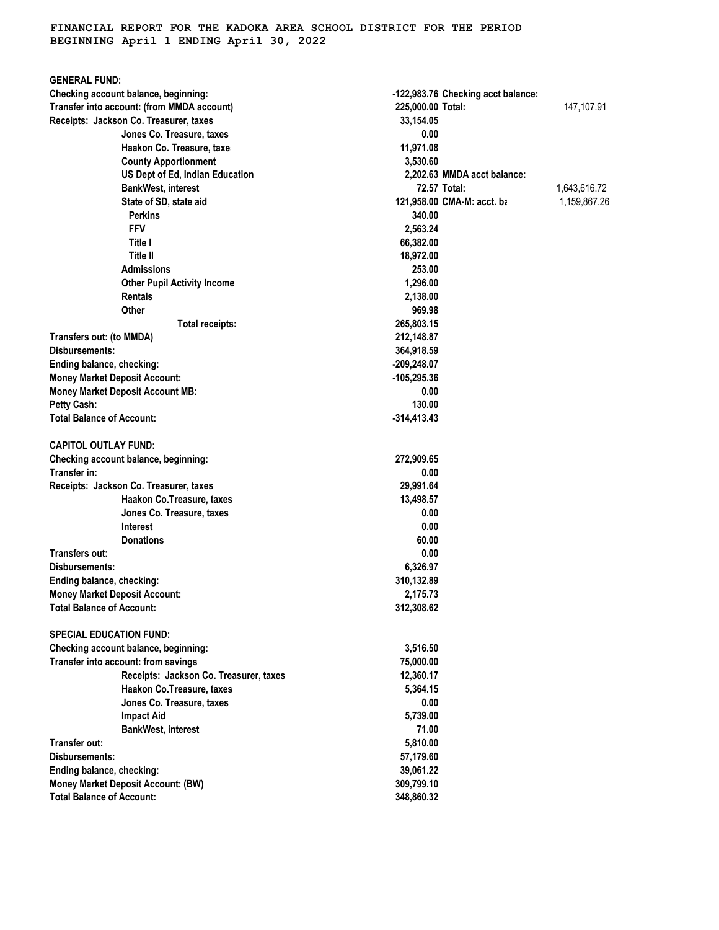## **FINANCIAL REPORT FOR THE KADOKA AREA SCHOOL DISTRICT FOR THE PERIOD BEGINNING April 1 ENDING April 30, 2022**

| <b>GENERAL FUND:</b>                       |                                    |              |
|--------------------------------------------|------------------------------------|--------------|
| Checking account balance, beginning:       | -122,983.76 Checking acct balance: |              |
| Transfer into account: (from MMDA account) | 225,000.00 Total:                  | 147,107.91   |
| Receipts: Jackson Co. Treasurer, taxes     | 33,154.05                          |              |
| Jones Co. Treasure, taxes                  | 0.00                               |              |
| Haakon Co. Treasure, taxe:                 | 11,971.08                          |              |
| <b>County Apportionment</b>                | 3,530.60                           |              |
| US Dept of Ed, Indian Education            | 2,202.63 MMDA acct balance:        |              |
| <b>BankWest, interest</b>                  | 72.57 Total:                       | 1,643,616.72 |
| State of SD, state aid                     | 121,958.00 CMA-M: acct. ba         | 1,159,867.26 |
| <b>Perkins</b>                             | 340.00                             |              |
| <b>FFV</b>                                 | 2,563.24                           |              |
| Title I                                    | 66,382.00                          |              |
| Title II                                   | 18,972.00                          |              |
| <b>Admissions</b>                          | 253.00                             |              |
| <b>Other Pupil Activity Income</b>         | 1,296.00                           |              |
| <b>Rentals</b>                             | 2,138.00                           |              |
| Other                                      | 969.98                             |              |
| Total receipts:                            | 265,803.15                         |              |
| Transfers out: (to MMDA)                   | 212,148.87                         |              |
| Disbursements:                             | 364,918.59                         |              |
| Ending balance, checking:                  | -209,248.07                        |              |
| <b>Money Market Deposit Account:</b>       | -105,295.36                        |              |
| <b>Money Market Deposit Account MB:</b>    | 0.00                               |              |
| Petty Cash:                                | 130.00                             |              |
| <b>Total Balance of Account:</b>           | $-314,413.43$                      |              |
| <b>CAPITOL OUTLAY FUND:</b>                |                                    |              |
| Checking account balance, beginning:       | 272,909.65                         |              |
| Transfer in:                               | 0.00                               |              |
| Receipts: Jackson Co. Treasurer, taxes     | 29,991.64                          |              |
| Haakon Co. Treasure, taxes                 | 13,498.57                          |              |
| Jones Co. Treasure, taxes                  | 0.00                               |              |
| Interest                                   | 0.00                               |              |
| <b>Donations</b>                           | 60.00                              |              |
| <b>Transfers out:</b>                      | 0.00                               |              |
| Disbursements:                             | 6,326.97                           |              |
| Ending balance, checking:                  | 310,132.89                         |              |
| <b>Money Market Deposit Account:</b>       | 2,175.73                           |              |
| <b>Total Balance of Account:</b>           | 312,308.62                         |              |
| <b>SPECIAL EDUCATION FUND:</b>             |                                    |              |
| Checking account balance, beginning:       | 3,516.50                           |              |
| Transfer into account: from savings        | 75,000.00                          |              |
| Receipts: Jackson Co. Treasurer, taxes     | 12,360.17                          |              |
| Haakon Co.Treasure, taxes                  | 5,364.15                           |              |
| Jones Co. Treasure, taxes                  | 0.00                               |              |
| <b>Impact Aid</b>                          | 5,739.00                           |              |
| <b>BankWest, interest</b>                  | 71.00                              |              |
| Transfer out:                              | 5,810.00                           |              |
| Disbursements:                             | 57,179.60                          |              |
| Ending balance, checking:                  | 39,061.22                          |              |
| <b>Money Market Deposit Account: (BW)</b>  | 309,799.10                         |              |
| <b>Total Balance of Account:</b>           | 348,860.32                         |              |